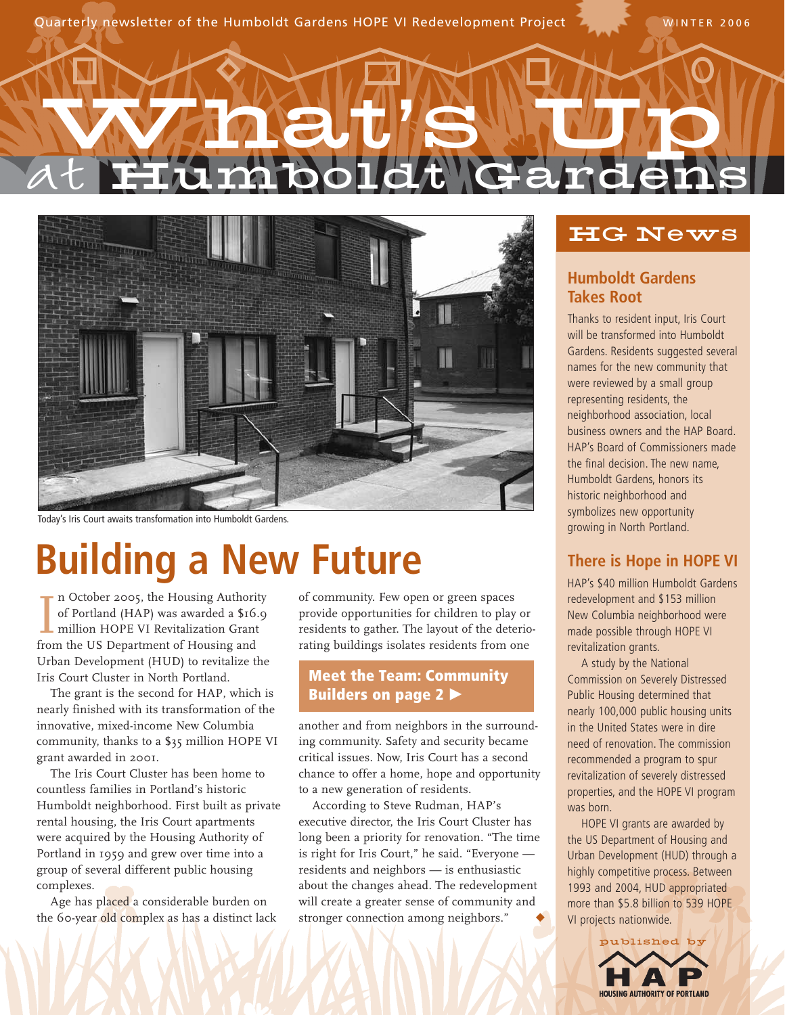Quarterly newsletter of the Humboldt Gardens HOPE VI Redevelopment Project 7, WINTER 2006

# at What **'**s Up Humboldt Gardens



Today's Iris Court awaits transformation into Humboldt Gardens.

## **Building a New Future**

In October 2005, the Housing Authories of Portland (HAP) was awarded a \$16 million HOPE VI Revitalization Grand from the US Department of Housing and n October 2005, the Housing Authority of Portland (HAP) was awarded a \$16.9 million HOPE VI Revitalization Grant Urban Development (HUD) to revitalize the Iris Court Cluster in North Portland.

The grant is the second for HAP, which is nearly finished with its transformation of the innovative, mixed-income New Columbia community, thanks to a \$35 million HOPE VI grant awarded in 2001.

The Iris Court Cluster has been home to countless families in Portland's historic Humboldt neighborhood. First built as private rental housing, the Iris Court apartments were acquired by the Housing Authority of Portland in 1959 and grew over time into a group of several different public housing complexes.

Age has placed a considerable burden on the 60-year old complex as has a distinct lack of community. Few open or green spaces provide opportunities for children to play or residents to gather. The layout of the deteriorating buildings isolates residents from one

### **Meet the Team: Community Builders on page 2**

another and from neighbors in the surrounding community. Safety and security became critical issues. Now, Iris Court has a second chance to offer a home, hope and opportunity to a new generation of residents.

According to Steve Rudman, HAP's executive director, the Iris Court Cluster has long been a priority for renovation. "The time is right for Iris Court," he said. "Everyone residents and neighbors — is enthusiastic about the changes ahead. The redevelopment will create a greater sense of community and stronger connection among neighbors."

## HG News

### **Humboldt Gardens Takes Root**

Thanks to resident input, Iris Court will be transformed into Humboldt Gardens. Residents suggested several names for the new community that were reviewed by a small group representing residents, the neighborhood association, local business owners and the HAP Board. HAP's Board of Commissioners made the final decision. The new name, Humboldt Gardens, honors its historic neighborhood and symbolizes new opportunity growing in North Portland.

### **There is Hope in HOPE VI**

HAP's \$40 million Humboldt Gardens redevelopment and \$153 million New Columbia neighborhood were made possible through HOPE VI revitalization grants.

A study by the National Commission on Severely Distressed Public Housing determined that nearly 100,000 public housing units in the United States were in dire need of renovation. The commission recommended a program to spur revitalization of severely distressed properties, and the HOPE VI program was born.

HOPE VI grants are awarded by the US Department of Housing and Urban Development (HUD) through a highly competitive process. Between 1993 and 2004, HUD appropriated more than \$5.8 billion to 539 HOPE VI projects nationwide.

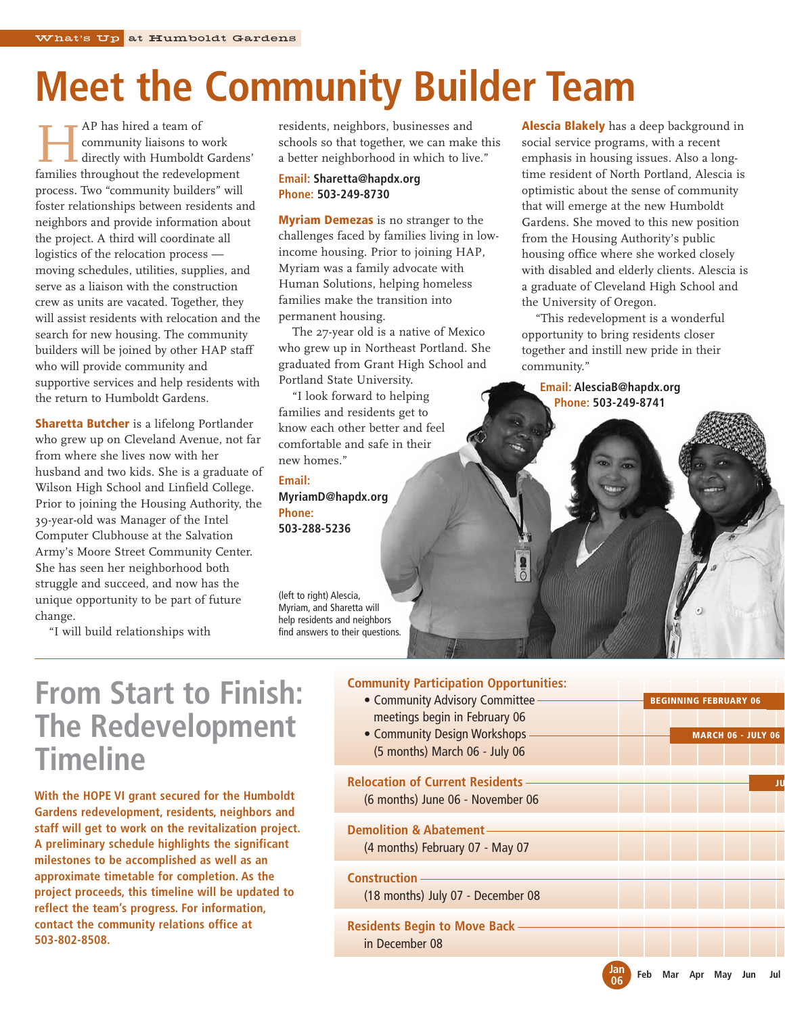# **Meet the Community Builder Team**

**HAP** has hired a team of<br>community liaisons to<br>directly with Humboldt<br>families throughout the redevel community liaisons to work directly with Humboldt Gardens' families throughout the redevelopment process. Two "community builders" will foster relationships between residents and neighbors and provide information about the project. A third will coordinate all logistics of the relocation process moving schedules, utilities, supplies, and serve as a liaison with the construction crew as units are vacated. Together, they will assist residents with relocation and the search for new housing. The community builders will be joined by other HAP staff who will provide community and supportive services and help residents with the return to Humboldt Gardens.

**Sharetta Butcher** is a lifelong Portlander who grew up on Cleveland Avenue, not far from where she lives now with her husband and two kids. She is a graduate of Wilson High School and Linfield College. Prior to joining the Housing Authority, the 39-year-old was Manager of the Intel Computer Clubhouse at the Salvation Army's Moore Street Community Center. She has seen her neighborhood both struggle and succeed, and now has the unique opportunity to be part of future change.

"I will build relationships with

residents, neighbors, businesses and schools so that together, we can make this a better neighborhood in which to live."

### **Email: Sharetta@hapdx.org Phone: 503-249-8730**

**Myriam Demezas** is no stranger to the challenges faced by families living in lowincome housing. Prior to joining HAP, Myriam was a family advocate with Human Solutions, helping homeless families make the transition into permanent housing.

The 27-year old is a native of Mexico who grew up in Northeast Portland. She graduated from Grant High School and Portland State University.

"I look forward to helping families and residents get to know each other better and feel comfortable and safe in their new homes."

**Email: MyriamD@hapdx.org Phone: 503-288-5236**

(left to right) Alescia, Myriam, and Sharetta will help residents and neighbors find answers to their questions. **Alescia Blakely** has a deep background in social service programs, with a recent emphasis in housing issues. Also a longtime resident of North Portland, Alescia is optimistic about the sense of community that will emerge at the new Humboldt Gardens. She moved to this new position from the Housing Authority's public housing office where she worked closely with disabled and elderly clients. Alescia is a graduate of Cleveland High School and the University of Oregon.

"This redevelopment is a wonderful opportunity to bring residents closer together and instill new pride in their community."

**Email: AlesciaB@hapdx.org Phone: 503-249-8741**

## **From Start to Finish: The Redevelopment Timeline**

**With the HOPE VI grant secured for the Humboldt Gardens redevelopment, residents, neighbors and staff will get to work on the revitalization project. A preliminary schedule highlights the significant milestones to be accomplished as well as an approximate timetable for completion. As the project proceeds, this timeline will be updated to reflect the team's progress. For information, contact the community relations office at 503-802-8508.**

### **Community Participation Opportunities:**

- Community Advisory Committee meetings begin in February 06 • Community Design Workshops
- (5 months) March 06 July 06

**Relocation of Current Residents**  (6 months) June 06 - November 06

#### **Demolition & Abatement** (4 months) February 07 - May 07

#### **Construction**

(18 months) July 07 - December 08

**Residents Begin to Move Back** in December 08

|  | <b>BEGINNING FEBRUARY 06</b> |                           |  |  |
|--|------------------------------|---------------------------|--|--|
|  |                              |                           |  |  |
|  |                              | <b>MARCH 06 - JULY 06</b> |  |  |
|  |                              |                           |  |  |
|  |                              |                           |  |  |
|  |                              |                           |  |  |
|  |                              |                           |  |  |
|  |                              |                           |  |  |
|  |                              |                           |  |  |
|  |                              |                           |  |  |
|  |                              |                           |  |  |
|  |                              |                           |  |  |
|  |                              |                           |  |  |

**06**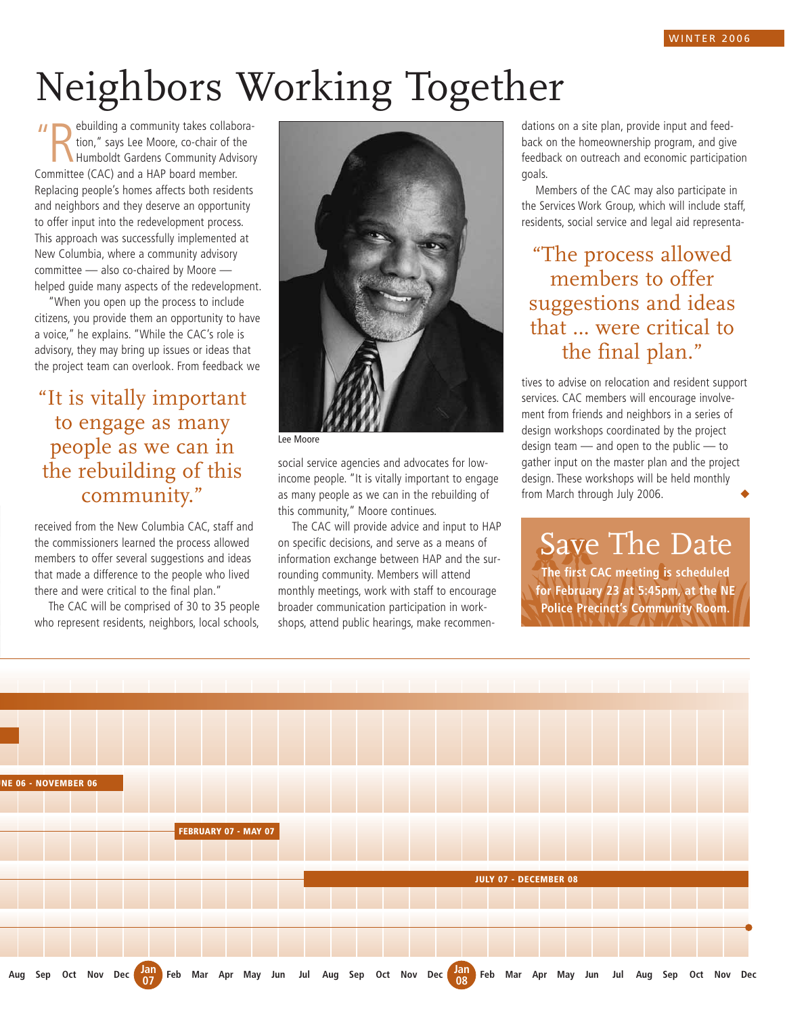# Neighbors Working Together

"Rebuilding a community takes collaboration," says Lee Moore, co-chair of the Humboldt Gardens Community Adviction."<br>Committee (CAC) and a HAP board member. ebuilding a community takes collaboration," says Lee Moore, co-chair of the Humboldt Gardens Community Advisory Replacing people's homes affects both residents and neighbors and they deserve an opportunity to offer input into the redevelopment process. This approach was successfully implemented at New Columbia, where a community advisory committee — also co-chaired by Moore helped guide many aspects of the redevelopment.

"When you open up the process to include citizens, you provide them an opportunity to have a voice," he explains. "While the CAC's role is advisory, they may bring up issues or ideas that the project team can overlook. From feedback we

"It is vitally important to engage as many people as we can in the rebuilding of this community."

received from the New Columbia CAC, staff and the commissioners learned the process allowed members to offer several suggestions and ideas that made a difference to the people who lived there and were critical to the final plan."

The CAC will be comprised of 30 to 35 people who represent residents, neighbors, local schools,



Lee Moore

social service agencies and advocates for lowincome people. "It is vitally important to engage as many people as we can in the rebuilding of this community," Moore continues.

The CAC will provide advice and input to HAP on specific decisions, and serve as a means of information exchange between HAP and the surrounding community. Members will attend monthly meetings, work with staff to encourage broader communication participation in workshops, attend public hearings, make recommendations on a site plan, provide input and feedback on the homeownership program, and give feedback on outreach and economic participation goals.

Members of the CAC may also participate in the Services Work Group, which will include staff, residents, social service and legal aid representa-

"The process allowed members to offer suggestions and ideas that … were critical to the final plan."

tives to advise on relocation and resident support services. CAC members will encourage involvement from friends and neighbors in a series of design workshops coordinated by the project design team — and open to the public — to gather input on the master plan and the project design. These workshops will be held monthly from March through July 2006.

Save The Date **The first CAC meeting is scheduled** 

**for February 23 at 5:45pm, at the NE Police Precinct's Community Room.**